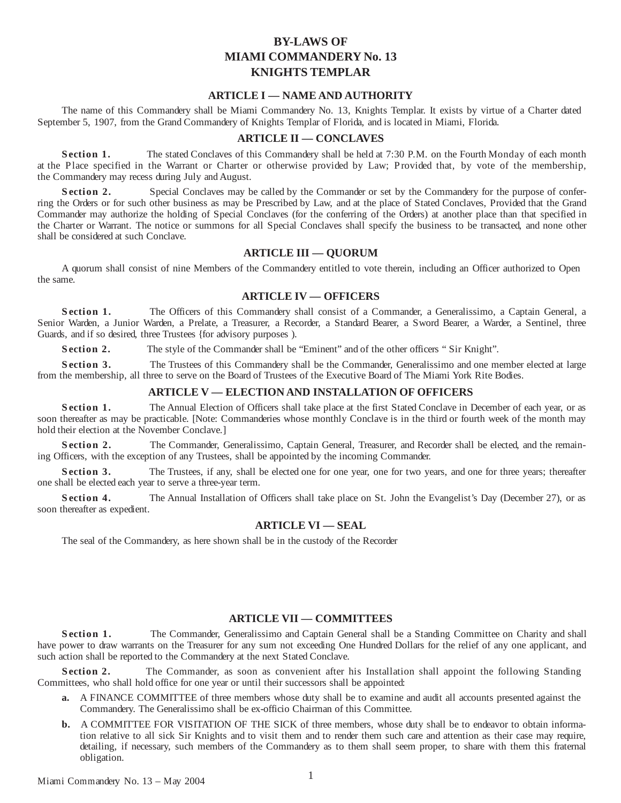# **BY-LAWS OF MIAMI COMMANDERY No. 13 KNIGHTS TEMPLAR**

# **ARTICLE I — NAME AND AUTHORITY**

The name of this Commandery shall be Miami Commandery No. 13, Knights Templar. It exists by virtue of a Charter dated September 5, 1907, from the Grand Commandery of Knights Templar of Florida, and is located in Miami, Florida.

#### **ARTICLE II — CONCLAVES**

**Section 1.** The stated Conclaves of this Commandery shall be held at 7:30 P.M. on the Fourth Monday of each month at the Place specified in the Warrant or Charter or otherwise provided by Law; Provided that, by vote of the membership, the Commandery may recess during July and August.

**Section 2.** Special Conclaves may be called by the Commander or set by the Commandery for the purpose of conferring the Orders or for such other business as may be Prescribed by Law, and at the place of Stated Conclaves, Provided that the Grand Commander may authorize the holding of Special Conclaves (for the conferring of the Orders) at another place than that specified in the Charter or Warrant. The notice or summons for all Special Conclaves shall specify the business to be transacted, and none other shall be considered at such Conclave.

#### **ARTICLE III — QUORUM**

A quorum shall consist of nine Members of the Commandery entitled to vote therein, including an Officer authorized to Open the same.

#### **ARTICLE IV — OFFICERS**

**S ection 1.** The Officers of this Commandery shall consist of a Commander, a Generalissimo, a Captain General, a Senior Warden, a Junior Warden, a Prelate, a Treasurer, a Recorder, a Standard Bearer, a Sword Bearer, a Warder, a Sentinel, three Guards, and if so desired, three Trustees {for advisory purposes ).

**S ection 2.** The style of the Commander shall be "Eminent" and of the other officers " Sir Knight".

**Section 3.** The Trustees of this Commandery shall be the Commander, Generalissimo and one member elected at large from the membership, all three to serve on the Board of Trustees of the Executive Board of The Miami York Rite Bodies.

#### **ARTICLE V — ELECTION AND INSTALLATION OF OFFICERS**

**Section 1.** The Annual Election of Officers shall take place at the first Stated Conclave in December of each year, or as soon thereafter as may be practicable. [Note: Commanderies whose monthly Conclave is in the third or fourth week of the month may hold their election at the November Conclave.]

**Section 2.** The Commander, Generalissimo, Captain General, Treasurer, and Recorder shall be elected, and the remaining Officers, with the exception of any Trustees, shall be appointed by the incoming Commander.

**Section 3.** The Trustees, if any, shall be elected one for one year, one for two years, and one for three years; thereafter one shall be elected each year to serve a three-year term.

**Section 4.** The Annual Installation of Officers shall take place on St. John the Evangelist's Day (December 27), or as soon thereafter as expedient.

#### **ARTICLE VI — SEAL**

The seal of the Commandery, as here shown shall be in the custody of the Recorder

# **ARTICLE VII — COMMITTEES**

**Section 1.** The Commander, Generalissimo and Captain General shall be a Standing Committee on Charity and shall have power to draw warrants on the Treasurer for any sum not exceeding One Hundred Dollars for the relief of any one applicant, and such action shall be reported to the Commandery at the next Stated Conclave.

**Section 2.** The Commander, as soon as convenient after his Installation shall appoint the following Standing Committees, who shall hold office for one year or until their successors shall be appointed:

- **a.** A FINANCE COMMITTEE of three members whose duty shall be to examine and audit all accounts presented against the Commandery. The Generalissimo shall be ex-officio Chairman of this Committee.
- **b.** A COMMITTEE FOR VISITATION OF THE SICK of three members, whose duty shall be to endeavor to obtain information relative to all sick Sir Knights and to visit them and to render them such care and attention as their case may require, detailing, if necessary, such members of the Commandery as to them shall seem proper, to share with them this fraternal obligation.

<sup>1</sup> Miami Commandery No. <sup>13</sup> – May <sup>2004</sup>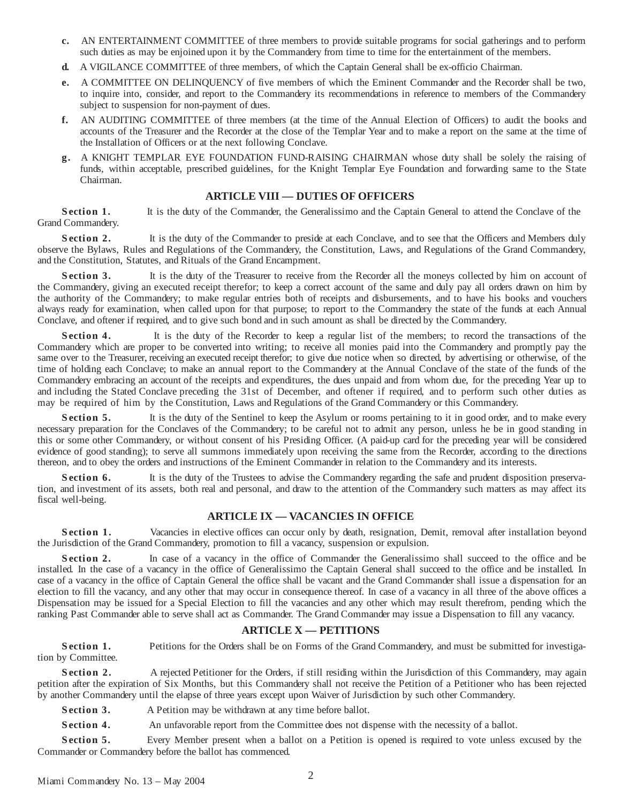- **c.** AN ENTERTAINMENT COMMITTEE of three members to provide suitable programs for social gatherings and to perform such duties as may be enjoined upon it by the Commandery from time to time for the entertainment of the members.
- **d.** A VIGILANCE COMMITTEE of three members, of which the Captain General shall be ex-officio Chairman.
- **e.** A COMMITTEE ON DELINQUENCY of five members of which the Eminent Commander and the Recorder shall be two, to inquire into, consider, and report to the Commandery its recommendations in reference to members of the Commandery subject to suspension for non-payment of dues.
- **f.** AN AUDITING COMMITTEE of three members (at the time of the Annual Election of Officers) to audit the books and accounts of the Treasurer and the Recorder at the close of the Templar Year and to make a report on the same at the time of the Installation of Officers or at the next following Conclave.
- **g.** A KNIGHT TEMPLAR EYE FOUNDATION FUND-RAISING CHAIRMAN whose duty shall be solely the raising of funds, within acceptable, prescribed guidelines, for the Knight Templar Eye Foundation and forwarding same to the State Chairman.

#### **ARTICLE VIII — DUTIES OF OFFICERS**

**Section 1.** It is the duty of the Commander, the Generalissimo and the Captain General to attend the Conclave of the Grand Commandery.

**Section 2.** It is the duty of the Commander to preside at each Conclave, and to see that the Officers and Members duly observe the Bylaws, Rules and Regulations of the Commandery, the Constitution, Laws, and Regulations of the Grand Commandery, and the Constitution, Statutes, and Rituals of the Grand Encampment.

**Section 3.** It is the duty of the Treasurer to receive from the Recorder all the moneys collected by him on account of the Commandery, giving an executed receipt therefor; to keep a correct account of the same and duly pay all orders drawn on him by the authority of the Commandery; to make regular entries both of receipts and disbursements, and to have his books and vouchers always ready for examination, when called upon for that purpose; to report to the Commandery the state of the funds at each Annual Conclave, and oftener if required, and to give such bond and in such amount as shall be directed by the Commandery.

**Section 4.** It is the duty of the Recorder to keep a regular list of the members; to record the transactions of the Commandery which are proper to be converted into writing; to receive all monies paid into the Commandery and promptly pay the same over to the Treasurer, receiving an executed receipt therefor; to give due notice when so directed, by advertising or otherwise, of the time of holding each Conclave; to make an annual report to the Commandery at the Annual Conclave of the state of the funds of the Commandery embracing an account of the receipts and expenditures, the dues unpaid and from whom due, for the preceding Year up to and including the Stated Conclave preceding the 31st of December, and oftener if required, and to perform such other duties as may be required of him by the Constitution, Laws and Regulations of the Grand Commandery or this Commandery.

**Section 5.** It is the duty of the Sentinel to keep the Asylum or rooms pertaining to it in good order, and to make every necessary preparation for the Conclaves of the Commandery; to be careful not to admit any person, unless he be in good standing in this or some other Commandery, or without consent of his Presiding Officer. (A paid-up card for the preceding year will be considered evidence of good standing); to serve all summons immediately upon receiving the same from the Recorder, according to the directions thereon, and to obey the orders and instructions of the Eminent Commander in relation to the Commandery and its interests.

**Section 6.** It is the duty of the Trustees to advise the Commandery regarding the safe and prudent disposition preservation, and investment of its assets, both real and personal, and draw to the attention of the Commandery such matters as may affect its fiscal well-being.

# **ARTICLE IX — VACANCIES IN OFFICE**

**Section 1.** Vacancies in elective offices can occur only by death, resignation, Demit, removal after installation beyond the Jurisdiction of the Grand Commandery, promotion to fill a vacancy, suspension or expulsion.

**Section 2.** In case of a vacancy in the office of Commander the Generalissimo shall succeed to the office and be installed. In the case of a vacancy in the office of Generalissimo the Captain General shall succeed to the office and be installed. In case of a vacancy in the office of Captain General the office shall be vacant and the Grand Commander shall issue a dispensation for an election to fill the vacancy, and any other that may occur in consequence thereof. In case of a vacancy in all three of the above offices a Dispensation may be issued for a Special Election to fill the vacancies and any other which may result therefrom, pending which the ranking Past Commander able to serve shall act as Commander. The Grand Commander may issue a Dispensation to fill any vacancy.

# **ARTICLE X — PETITIONS**

**Section 1.** Petitions for the Orders shall be on Forms of the Grand Commandery, and must be submitted for investigation by Committee.

**Section 2.** A rejected Petitioner for the Orders, if still residing within the Jurisdiction of this Commandery, may again petition after the expiration of Six Months, but this Commandery shall not receive the Petition of a Petitioner who has been rejected by another Commandery until the elapse of three years except upon Waiver of Jurisdiction by such other Commandery.

**S ection 3.** A Petition may be withdrawn at any time before ballot.

**Section 4.** An unfavorable report from the Committee does not dispense with the necessity of a ballot.

**Section 5.** Every Member present when a ballot on a Petition is opened is required to vote unless excused by the Commander or Commandery before the ballot has commenced.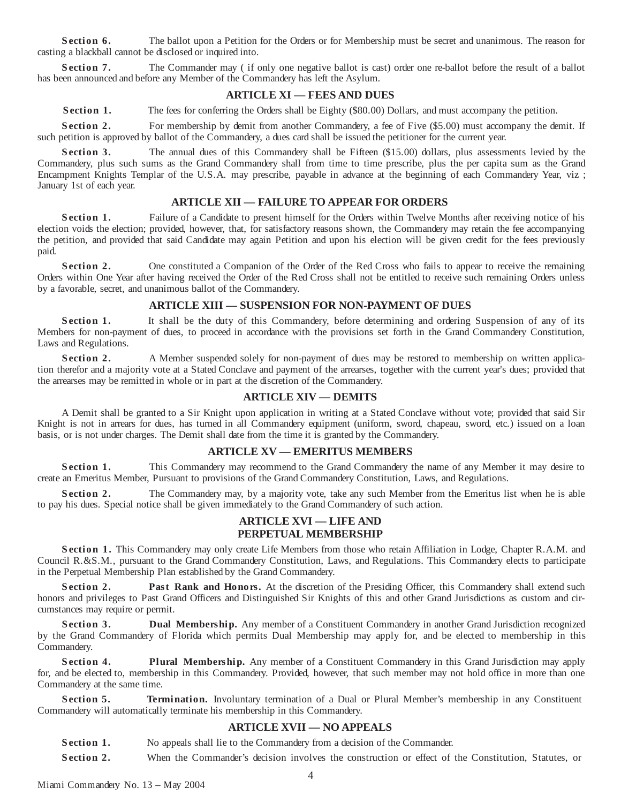**Section 6.** The ballot upon a Petition for the Orders or for Membership must be secret and unanimous. The reason for casting a blackball cannot be disclosed or inquired into.

**Section 7.** The Commander may (if only one negative ballot is cast) order one re-ballot before the result of a ballot has been announced and before any Member of the Commandery has left the Asylum.

# **ARTICLE XI — FEES AND DUES**

**Section 1.** The fees for conferring the Orders shall be Eighty (\$80.00) Dollars, and must accompany the petition.

**Section 2.** For membership by demit from another Commandery, a fee of Five (\$5.00) must accompany the demit. If such petition is approved by ballot of the Commandery, a dues card shall be issued the petitioner for the current year.

**Section 3.** The annual dues of this Commandery shall be Fifteen (\$15.00) dollars, plus assessments levied by the Commandery, plus such sums as the Grand Commandery shall from time to time prescribe, plus the per capita sum as the Grand Encampment Knights Templar of the U.S.A. may prescribe, payable in advance at the beginning of each Commandery Year, viz ; January 1st of each year.

#### **ARTICLE XII — FAILURE TO APPEAR FOR ORDERS**

**Section 1.** Failure of a Candidate to present himself for the Orders within Twelve Months after receiving notice of his election voids the election; provided, however, that, for satisfactory reasons shown, the Commandery may retain the fee accompanying the petition, and provided that said Candidate may again Petition and upon his election will be given credit for the fees previously paid.

**Section 2.** One constituted a Companion of the Order of the Red Cross who fails to appear to receive the remaining Orders within One Year after having received the Order of the Red Cross shall not be entitled to receive such remaining Orders unless by a favorable, secret, and unanimous ballot of the Commandery.

#### **ARTICLE XIII — SUSPENSION FOR NON-PAYMENT OF DUES**

**Section 1.** It shall be the duty of this Commandery, before determining and ordering Suspension of any of its Members for non-payment of dues, to proceed in accordance with the provisions set forth in the Grand Commandery Constitution, Laws and Regulations.

**Section 2.** A Member suspended solely for non-payment of dues may be restored to membership on written application therefor and a majority vote at a Stated Conclave and payment of the arrearses, together with the current year's dues; provided that the arrearses may be remitted in whole or in part at the discretion of the Commandery.

#### **ARTICLE XIV — DEMITS**

A Demit shall be granted to a Sir Knight upon application in writing at a Stated Conclave without vote; provided that said Sir Knight is not in arrears for dues, has turned in all Commandery equipment (uniform, sword, chapeau, sword, etc.) issued on a loan basis, or is not under charges. The Demit shall date from the time it is granted by the Commandery.

# **ARTICLE XV — EMERITUS MEMBERS**

**Section 1.** This Commandery may recommend to the Grand Commandery the name of any Member it may desire to create an Emeritus Member, Pursuant to provisions of the Grand Commandery Constitution, Laws, and Regulations.

**Section 2.** The Commandery may, by a majority vote, take any such Member from the Emeritus list when he is able to pay his dues. Special notice shall be given immediately to the Grand Commandery of such action.

#### **ARTICLE XVI — LIFE AND PERPETUAL MEMBERSHIP**

**S ection 1.** This Commandery may only create Life Members from those who retain Affiliation in Lodge, Chapter R.A.M. and Council R.&S.M., pursuant to the Grand Commandery Constitution, Laws, and Regulations. This Commandery elects to participate in the Perpetual Membership Plan established by the Grand Commandery.

**Section 2.** Past Rank and Honors. At the discretion of the Presiding Officer, this Commandery shall extend such honors and privileges to Past Grand Officers and Distinguished Sir Knights of this and other Grand Jurisdictions as custom and circumstances may require or permit.

**Section 3. Dual Membership.** Any member of a Constituent Commandery in another Grand Jurisdiction recognized by the Grand Commandery of Florida which permits Dual Membership may apply for, and be elected to membership in this Commandery.

**Section 4. Plural Membership.** Any member of a Constituent Commandery in this Grand Jurisdiction may apply for, and be elected to, membership in this Commandery. Provided, however, that such member may not hold office in more than one Commandery at the same time.

**Section 5. <b>Termination.** Involuntary termination of a Dual or Plural Member's membership in any Constituent Commandery will automatically terminate his membership in this Commandery.

# **ARTICLE XVII — NO APPEALS**

**S ection 1.** No appeals shall lie to the Commandery from a decision of the Commander.

**Section 2.** When the Commander's decision involves the construction or effect of the Constitution, Statutes, or